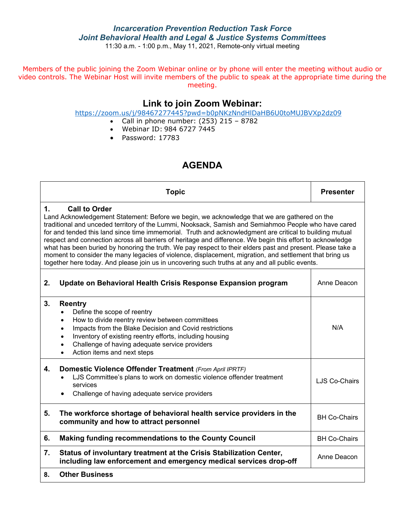### *Incarceration Prevention Reduction Task Force Joint Behavioral Health and Legal & Justice Systems Committees*

11:30 a.m. - 1:00 p.m., May 11, 2021, Remote-only virtual meeting

Members of the public joining the Zoom Webinar online or by phone will enter the meeting without audio or video controls. The Webinar Host will invite members of the public to speak at the appropriate time during the meeting.

## **Link to join Zoom Webinar:**

<https://zoom.us/j/98467277445?pwd=b0pNKzNndHlDaHB6U0toMUJBVXp2dz09>

- Call in phone number:  $(253)$  215 8782
- Webinar ID: 984 6727 7445
- Password: 17783

### **AGENDA**

|                                                                                                                                                                                                                                                                                                                                                                                                                                                                                                                                                                                                                                                                                                                                                                                         | <b>Topic</b>                                                                                                                                                                                                                                                                                                                                                                          | <b>Presenter</b>     |  |  |  |  |
|-----------------------------------------------------------------------------------------------------------------------------------------------------------------------------------------------------------------------------------------------------------------------------------------------------------------------------------------------------------------------------------------------------------------------------------------------------------------------------------------------------------------------------------------------------------------------------------------------------------------------------------------------------------------------------------------------------------------------------------------------------------------------------------------|---------------------------------------------------------------------------------------------------------------------------------------------------------------------------------------------------------------------------------------------------------------------------------------------------------------------------------------------------------------------------------------|----------------------|--|--|--|--|
| 1.<br><b>Call to Order</b><br>Land Acknowledgement Statement: Before we begin, we acknowledge that we are gathered on the<br>traditional and unceded territory of the Lummi, Nooksack, Samish and Semiahmoo People who have cared<br>for and tended this land since time immemorial. Truth and acknowledgment are critical to building mutual<br>respect and connection across all barriers of heritage and difference. We begin this effort to acknowledge<br>what has been buried by honoring the truth. We pay respect to their elders past and present. Please take a<br>moment to consider the many legacies of violence, displacement, migration, and settlement that bring us<br>together here today. And please join us in uncovering such truths at any and all public events. |                                                                                                                                                                                                                                                                                                                                                                                       |                      |  |  |  |  |
| 2.                                                                                                                                                                                                                                                                                                                                                                                                                                                                                                                                                                                                                                                                                                                                                                                      | Update on Behavioral Health Crisis Response Expansion program                                                                                                                                                                                                                                                                                                                         | Anne Deacon          |  |  |  |  |
| 3.                                                                                                                                                                                                                                                                                                                                                                                                                                                                                                                                                                                                                                                                                                                                                                                      | <b>Reentry</b><br>Define the scope of reentry<br>$\bullet$<br>How to divide reentry review between committees<br>$\bullet$<br>Impacts from the Blake Decision and Covid restrictions<br>$\bullet$<br>Inventory of existing reentry efforts, including housing<br>$\bullet$<br>Challenge of having adequate service providers<br>$\bullet$<br>Action items and next steps<br>$\bullet$ | N/A                  |  |  |  |  |
| 4.                                                                                                                                                                                                                                                                                                                                                                                                                                                                                                                                                                                                                                                                                                                                                                                      | Domestic Violence Offender Treatment (From April IPRTF)<br>LJS Committee's plans to work on domestic violence offender treatment<br>services<br>Challenge of having adequate service providers                                                                                                                                                                                        | <b>LJS Co-Chairs</b> |  |  |  |  |
| 5.                                                                                                                                                                                                                                                                                                                                                                                                                                                                                                                                                                                                                                                                                                                                                                                      | The workforce shortage of behavioral health service providers in the<br><b>BH Co-Chairs</b><br>community and how to attract personnel                                                                                                                                                                                                                                                 |                      |  |  |  |  |
| 6.                                                                                                                                                                                                                                                                                                                                                                                                                                                                                                                                                                                                                                                                                                                                                                                      | Making funding recommendations to the County Council<br><b>BH Co-Chairs</b>                                                                                                                                                                                                                                                                                                           |                      |  |  |  |  |
| 7.                                                                                                                                                                                                                                                                                                                                                                                                                                                                                                                                                                                                                                                                                                                                                                                      | Status of involuntary treatment at the Crisis Stabilization Center,<br>Anne Deacon<br>including law enforcement and emergency medical services drop-off                                                                                                                                                                                                                               |                      |  |  |  |  |
| 8.                                                                                                                                                                                                                                                                                                                                                                                                                                                                                                                                                                                                                                                                                                                                                                                      | <b>Other Business</b>                                                                                                                                                                                                                                                                                                                                                                 |                      |  |  |  |  |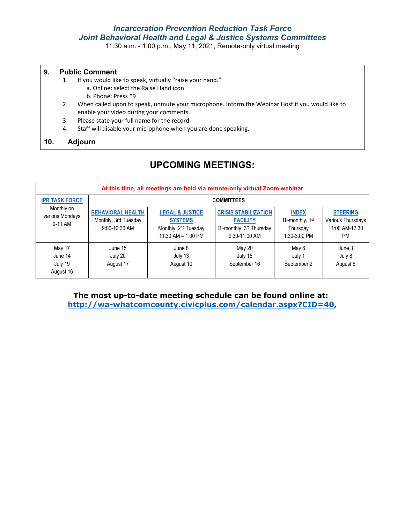### *Incarceration Prevention Reduction Task Force Joint Behavioral Health and Legal & Justice Systems Committees*

11:30 a.m. - 1:00 p.m., May 11, 2021, Remote-only virtual meeting

#### **9. Public Comment**

- 1. If you would like to speak, virtually "raise your hand."
	- a. Online: select the Raise Hand icon
	- b. Phone: Press \*9
- 2. When called upon to speak, unmute your microphone. Inform the Webinar Host if you would like to enable your video during your comments.
- 3. Please state your full name for the record.
- 4. Staff will disable your microphone when you are done speaking.

#### **10. Adjourn**

### **UPCOMING MEETINGS:**

| At this time, all meetings are held via remote-only virtual Zoom webinar |                                                                   |                                                                                                          |                                                                                             |                                                                         |                                                                     |  |  |  |
|--------------------------------------------------------------------------|-------------------------------------------------------------------|----------------------------------------------------------------------------------------------------------|---------------------------------------------------------------------------------------------|-------------------------------------------------------------------------|---------------------------------------------------------------------|--|--|--|
| <b>IPR TASK FORCE</b>                                                    | <b>COMMITTEES</b>                                                 |                                                                                                          |                                                                                             |                                                                         |                                                                     |  |  |  |
| Monthly on<br>various Mondays<br>9-11 AM                                 | <b>BEHAVIORAL HEALTH</b><br>Monthly, 3rd Tuesday<br>9:00-10:30 AM | <b>LEGAL &amp; JUSTICE</b><br><b>SYSTEMS</b><br>Monthly, 2 <sup>nd</sup> Tuesday<br>11:30 AM $-$ 1:00 PM | <b>CRISIS STABILIZATION</b><br><b>FACILITY</b><br>Bi-monthly, 3rd Thursday<br>9:30-11:00 AM | <b>INDEX</b><br>Bi-monthly, 1 <sup>st</sup><br>Thursday<br>1:30-3:00 PM | <b>STEERING</b><br>Various Thursdays<br>11:00 AM-12:30<br><b>PM</b> |  |  |  |
| May 17<br>June 14<br>July 19<br>August 16                                | June 15<br>July 20<br>August 17                                   | June 8<br>July 13<br>August 10                                                                           | May 20<br>July 15<br>September 16                                                           | May 6<br>July 1<br>September 2                                          | June 3<br>July 8<br>August 5                                        |  |  |  |

**The most up-to-date meeting schedule can be found online at: [http://wa-whatcomcounty.civicplus.com/calendar.aspx?CID=40,](http://wa-whatcomcounty.civicplus.com/calendar.aspx?CID=40)**